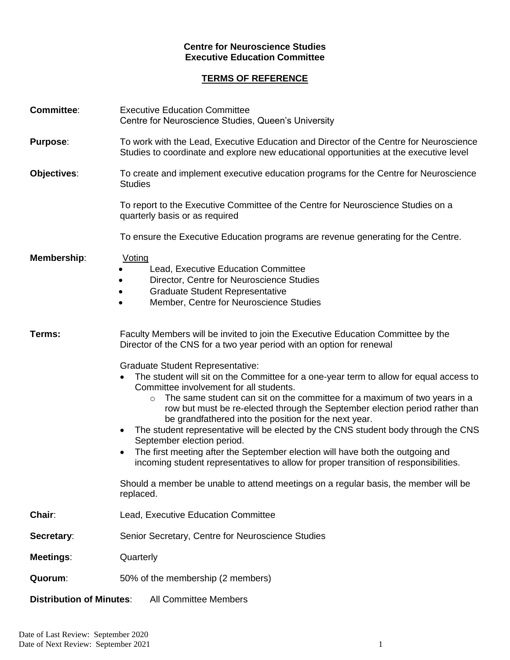## **Centre for Neuroscience Studies Executive Education Committee**

## **TERMS OF REFERENCE**

| <b>Committee:</b>               | <b>Executive Education Committee</b><br>Centre for Neuroscience Studies, Queen's University                                                                                                                                                                                                                                                                                                                                                                                                                                                                                                                                                                                                                              |
|---------------------------------|--------------------------------------------------------------------------------------------------------------------------------------------------------------------------------------------------------------------------------------------------------------------------------------------------------------------------------------------------------------------------------------------------------------------------------------------------------------------------------------------------------------------------------------------------------------------------------------------------------------------------------------------------------------------------------------------------------------------------|
| <b>Purpose:</b>                 | To work with the Lead, Executive Education and Director of the Centre for Neuroscience<br>Studies to coordinate and explore new educational opportunities at the executive level                                                                                                                                                                                                                                                                                                                                                                                                                                                                                                                                         |
| Objectives:                     | To create and implement executive education programs for the Centre for Neuroscience<br><b>Studies</b>                                                                                                                                                                                                                                                                                                                                                                                                                                                                                                                                                                                                                   |
|                                 | To report to the Executive Committee of the Centre for Neuroscience Studies on a<br>quarterly basis or as required                                                                                                                                                                                                                                                                                                                                                                                                                                                                                                                                                                                                       |
|                                 | To ensure the Executive Education programs are revenue generating for the Centre.                                                                                                                                                                                                                                                                                                                                                                                                                                                                                                                                                                                                                                        |
| Membership:                     | Voting<br>Lead, Executive Education Committee<br>Director, Centre for Neuroscience Studies<br><b>Graduate Student Representative</b><br>Member, Centre for Neuroscience Studies                                                                                                                                                                                                                                                                                                                                                                                                                                                                                                                                          |
| Terms:                          | Faculty Members will be invited to join the Executive Education Committee by the<br>Director of the CNS for a two year period with an option for renewal                                                                                                                                                                                                                                                                                                                                                                                                                                                                                                                                                                 |
|                                 | <b>Graduate Student Representative:</b><br>The student will sit on the Committee for a one-year term to allow for equal access to<br>Committee involvement for all students.<br>The same student can sit on the committee for a maximum of two years in a<br>$\circ$<br>row but must be re-elected through the September election period rather than<br>be grandfathered into the position for the next year.<br>The student representative will be elected by the CNS student body through the CNS<br>September election period.<br>The first meeting after the September election will have both the outgoing and<br>$\bullet$<br>incoming student representatives to allow for proper transition of responsibilities. |
|                                 | Should a member be unable to attend meetings on a regular basis, the member will be<br>replaced.                                                                                                                                                                                                                                                                                                                                                                                                                                                                                                                                                                                                                         |
| Chair:                          | Lead, Executive Education Committee                                                                                                                                                                                                                                                                                                                                                                                                                                                                                                                                                                                                                                                                                      |
| Secretary:                      | Senior Secretary, Centre for Neuroscience Studies                                                                                                                                                                                                                                                                                                                                                                                                                                                                                                                                                                                                                                                                        |
| <b>Meetings:</b>                | Quarterly                                                                                                                                                                                                                                                                                                                                                                                                                                                                                                                                                                                                                                                                                                                |
| Quorum:                         | 50% of the membership (2 members)                                                                                                                                                                                                                                                                                                                                                                                                                                                                                                                                                                                                                                                                                        |
| <b>Distribution of Minutes:</b> | All Committee Members                                                                                                                                                                                                                                                                                                                                                                                                                                                                                                                                                                                                                                                                                                    |